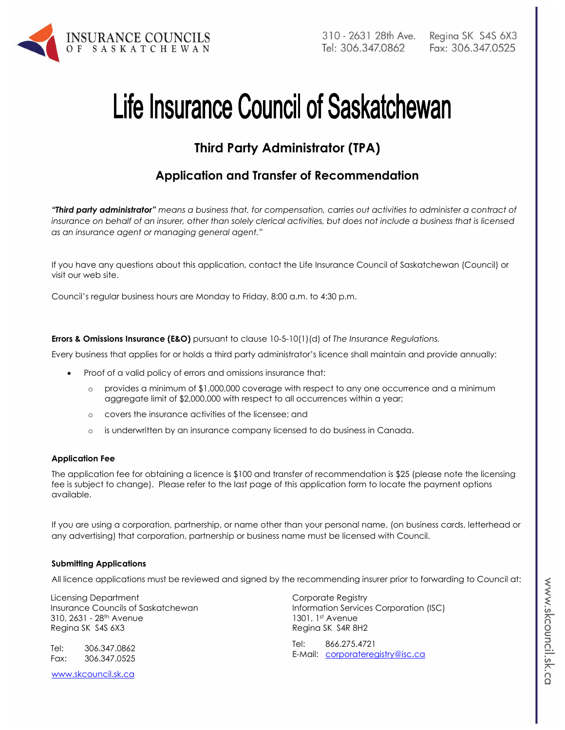

# Life Insurance Council of Saskatchewan

## **Third Party Administrator (TPA)**

## **Application and Transfer of Recommendation**

*"Third party administrator" means a business that, for compensation, carries out activities to administer a contract of insurance on behalf of an insurer, other than solely clerical activities, but does not include a business that is licensed as an insurance agent or managing general agent."* 

If you have any questions about this application, contact the Life Insurance Council of Saskatchewan (Council) or visit our web site.

Council's regular business hours are Monday to Friday, 8:00 a.m. to 4:30 p.m.

**Errors & Omissions Insurance (E&O)** pursuant to clause 10-5-10(1)(d) of *The Insurance Regulations.* 

Every business that applies for or holds a third party administrator's licence shall maintain and provide annually:

- Proof of a valid policy of errors and omissions insurance that:
	- o provides a minimum of \$1,000,000 coverage with respect to any one occurrence and a minimum aggregate limit of \$2,000,000 with respect to all occurrences within a year;
	- o covers the insurance activities of the licensee; and
	- o is underwritten by an insurance company licensed to do business in Canada.

#### **Application Fee**

The application fee for obtaining a licence is \$100 and transfer of recommendation is \$25 (please note the licensing fee is subject to change). Please refer to the last page of this application form to locate the payment options available.

If you are using a corporation, partnership, or name other than your personal name, (on business cards, letterhead or any advertising) that corporation, partnership or business name must be licensed with Council.

#### **Submitting Applications**

All licence applications must be reviewed and signed by the recommending insurer prior to forwarding to Council at:

Licensing Department Insurance Councils of Saskatchewan 310, 2631 - 28th Avenue Regina SK S4S 6X3

Tel: 306.347.0862 Fax: 306.347.0525

www.skcouncil.sk.ca

Corporate Registry Information Services Corporation (ISC) 1301, 1st Avenue Regina SK S4R 8H2

Tel: 866.275.4721 E-Mail: corporateregistry@isc.ca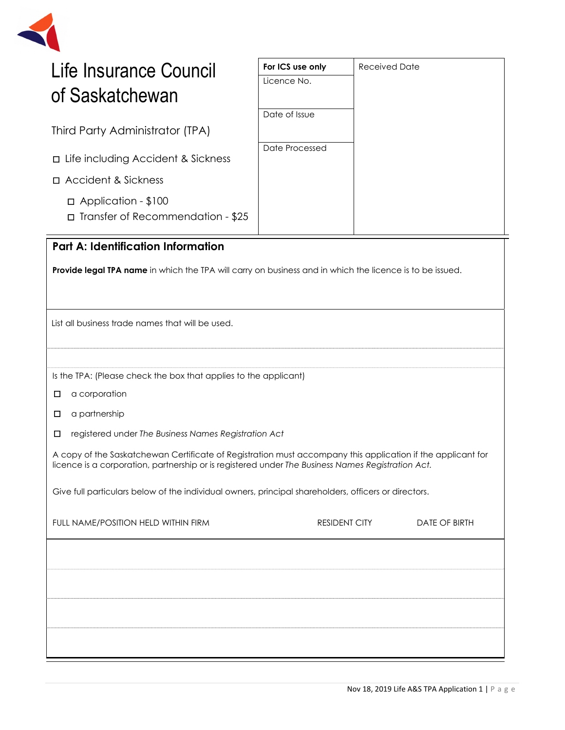

| Life Insurance Council |  |
|------------------------|--|
| of Saskatchewan        |  |

Third Party Administrator (TPA)

- □Life including Accident & Sickness
- □Accident & Sickness
	- □ Application \$100
	- □ Transfer of Recommendation \$25

# **Part A: Identification Information**

**Provide legal TPA name** in which the TPA will carry on business and in which the licence is to be issued.

**For ICS use only** Received Date

Licence No.

Date of Issue

Date Processed

List all business trade names that will be used.

Is the TPA: (Please check the box that applies to the applicant)

□ a corporation

□ a partnership

□ registered under *The Business Names Registration Act*

A copy of the Saskatchewan Certificate of Registration must accompany this application if the applicant for licence is a corporation, partnership or is registered under *The Business Names Registration Act.* 

Give full particulars below of the individual owners, principal shareholders, officers or directors.

| FULL NAME/POSITION HELD WITHIN FIRM | <b>RESIDENT CITY</b> | DATE OF BIRTH |
|-------------------------------------|----------------------|---------------|
|                                     |                      |               |
|                                     |                      |               |
|                                     |                      |               |
|                                     |                      |               |
|                                     |                      |               |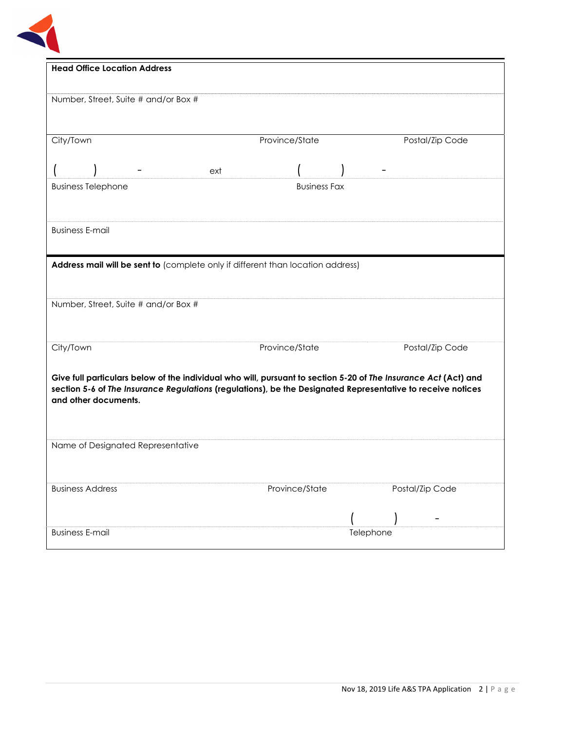

| <b>Head Office Location Address</b>                                                                                                                                                                                            |                     |                 |
|--------------------------------------------------------------------------------------------------------------------------------------------------------------------------------------------------------------------------------|---------------------|-----------------|
|                                                                                                                                                                                                                                |                     |                 |
| Number, Street, Suite # and/or Box #                                                                                                                                                                                           |                     |                 |
|                                                                                                                                                                                                                                |                     |                 |
| City/Town                                                                                                                                                                                                                      | Province/State      | Postal/Zip Code |
|                                                                                                                                                                                                                                |                     |                 |
| ext                                                                                                                                                                                                                            |                     |                 |
| <b>Business Telephone</b>                                                                                                                                                                                                      | <b>Business Fax</b> |                 |
|                                                                                                                                                                                                                                |                     |                 |
| <b>Business E-mail</b>                                                                                                                                                                                                         |                     |                 |
|                                                                                                                                                                                                                                |                     |                 |
| Address mail will be sent to (complete only if different than location address)                                                                                                                                                |                     |                 |
|                                                                                                                                                                                                                                |                     |                 |
| Number, Street, Suite # and/or Box #                                                                                                                                                                                           |                     |                 |
|                                                                                                                                                                                                                                |                     |                 |
|                                                                                                                                                                                                                                |                     |                 |
| City/Town                                                                                                                                                                                                                      | Province/State      | Postal/Zip Code |
|                                                                                                                                                                                                                                |                     |                 |
| Give full particulars below of the individual who will, pursuant to section 5-20 of The Insurance Act (Act) and<br>section 5-6 of The Insurance Regulations (regulations), be the Designated Representative to receive notices |                     |                 |
| and other documents.                                                                                                                                                                                                           |                     |                 |
|                                                                                                                                                                                                                                |                     |                 |
| Name of Designated Representative                                                                                                                                                                                              |                     |                 |
|                                                                                                                                                                                                                                |                     |                 |
|                                                                                                                                                                                                                                |                     |                 |
| <b>Business Address</b>                                                                                                                                                                                                        | Province/State      | Postal/Zip Code |
|                                                                                                                                                                                                                                |                     |                 |
| <b>Business E-mail</b>                                                                                                                                                                                                         |                     | Telephone       |
|                                                                                                                                                                                                                                |                     |                 |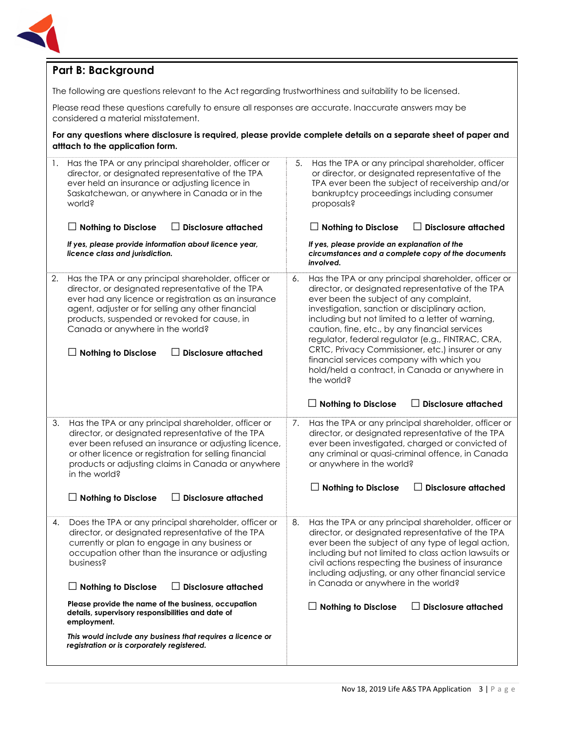

## **Part B: Background**

The following are questions relevant to the Act regarding trustworthiness and suitability to be licensed.

Please read these questions carefully to ensure all responses are accurate. Inaccurate answers may be considered a material misstatement.

**For any questions where disclosure is required, please provide complete details on a separate sheet of paper and atttach to the application form.** 

| 1. | Has the TPA or any principal shareholder, officer or<br>director, or designated representative of the TPA<br>ever held an insurance or adjusting licence in<br>Saskatchewan, or anywhere in Canada or in the<br>world?<br>$\Box$ Disclosure attached<br><b>Nothing to Disclose</b>                                                                                      | 5.<br>Has the TPA or any principal shareholder, officer<br>or director, or designated representative of the<br>TPA ever been the subject of receivership and/or<br>bankruptcy proceedings including consumer<br>proposals?<br>$\Box$ Disclosure attached<br>$\Box$ Nothing to Disclose                                                                                                                                                                                                                                                                                                                 |
|----|-------------------------------------------------------------------------------------------------------------------------------------------------------------------------------------------------------------------------------------------------------------------------------------------------------------------------------------------------------------------------|--------------------------------------------------------------------------------------------------------------------------------------------------------------------------------------------------------------------------------------------------------------------------------------------------------------------------------------------------------------------------------------------------------------------------------------------------------------------------------------------------------------------------------------------------------------------------------------------------------|
|    | If yes, please provide information about licence year,<br>licence class and jurisdiction.                                                                                                                                                                                                                                                                               | If yes, please provide an explanation of the<br>circumstances and a complete copy of the documents<br>involved.                                                                                                                                                                                                                                                                                                                                                                                                                                                                                        |
| 2. | Has the TPA or any principal shareholder, officer or<br>director, or designated representative of the TPA<br>ever had any licence or registration as an insurance<br>agent, adjuster or for selling any other financial<br>products, suspended or revoked for cause, in<br>Canada or anywhere in the world?<br><b>Disclosure attached</b><br><b>Nothing to Disclose</b> | Has the TPA or any principal shareholder, officer or<br>6.<br>director, or designated representative of the TPA<br>ever been the subject of any complaint,<br>investigation, sanction or disciplinary action,<br>including but not limited to a letter of warning,<br>caution, fine, etc., by any financial services<br>regulator, federal regulator (e.g., FINTRAC, CRA,<br>CRTC, Privacy Commissioner, etc.) insurer or any<br>financial services company with which you<br>hold/held a contract, in Canada or anywhere in<br>the world?<br><b>Disclosure attached</b><br>$\Box$ Nothing to Disclose |
|    |                                                                                                                                                                                                                                                                                                                                                                         |                                                                                                                                                                                                                                                                                                                                                                                                                                                                                                                                                                                                        |
| 3. | Has the TPA or any principal shareholder, officer or<br>director, or designated representative of the TPA<br>ever been refused an insurance or adjusting licence,<br>or other licence or registration for selling financial<br>products or adjusting claims in Canada or anywhere<br>in the world?                                                                      | Has the TPA or any principal shareholder, officer or<br>7.<br>director, or designated representative of the TPA<br>ever been investigated, charged or convicted of<br>any criminal or quasi-criminal offence, in Canada<br>or anywhere in the world?                                                                                                                                                                                                                                                                                                                                                   |
|    | <b>Nothing to Disclose</b><br><b>Disclosure attached</b>                                                                                                                                                                                                                                                                                                                | $\Box$ Nothing to Disclose<br><b>Disclosure attached</b>                                                                                                                                                                                                                                                                                                                                                                                                                                                                                                                                               |
| 4. | Does the TPA or any principal shareholder, officer or<br>director, or designated representative of the TPA<br>currently or plan to engage in any business or<br>occupation other than the insurance or adjusting<br>business?<br><b>Disclosure attached</b><br>$\Box$ Nothing to Disclose                                                                               | 8.<br>Has the TPA or any principal shareholder, officer or<br>director, or designated representative of the TPA<br>ever been the subject of any type of legal action,<br>including but not limited to class action lawsuits or<br>civil actions respecting the business of insurance<br>including adjusting, or any other financial service<br>in Canada or anywhere in the world?                                                                                                                                                                                                                     |
|    | Please provide the name of the business, occupation<br>details, supervisory responsibilities and date of<br>employment.                                                                                                                                                                                                                                                 | $\Box$ Disclosure attached<br>$\Box$ Nothing to Disclose                                                                                                                                                                                                                                                                                                                                                                                                                                                                                                                                               |
|    | This would include any business that requires a licence or<br>registration or is corporately registered.                                                                                                                                                                                                                                                                |                                                                                                                                                                                                                                                                                                                                                                                                                                                                                                                                                                                                        |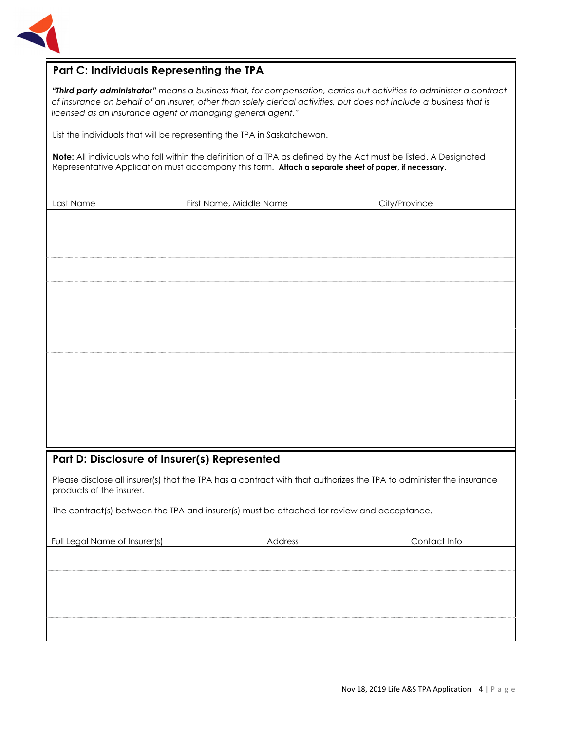

### **Part C: Individuals Representing the TPA**

*"Third party administrator" means a business that, for compensation, carries out activities to administer a contract of insurance on behalf of an insurer, other than solely clerical activities, but does not include a business that is licensed as an insurance agent or managing general agent."* 

List the individuals that will be representing the TPA in Saskatchewan.

**Note:** All individuals who fall within the definition of a TPA as defined by the Act must be listed. A Designated Representative Application must accompany this form. **Attach a separate sheet of paper, if necessary**.

| Last Name                                    | First Name, Middle Name | City/Province |
|----------------------------------------------|-------------------------|---------------|
|                                              |                         |               |
|                                              |                         |               |
|                                              |                         |               |
|                                              |                         |               |
|                                              |                         |               |
|                                              |                         |               |
|                                              |                         |               |
|                                              |                         |               |
|                                              |                         |               |
|                                              |                         |               |
|                                              |                         |               |
| Part D: Disclosure of Insurer(s) Represented |                         |               |

Please disclose all insurer(s) that the TPA has a contract with that authorizes the TPA to administer the insurance products of the insurer.

The contract(s) between the TPA and insurer(s) must be attached for review and acceptance.

| Full Legal Name of Insurer(s) | Address | Contact Info |
|-------------------------------|---------|--------------|
|                               |         |              |
|                               |         |              |
|                               |         |              |
|                               |         |              |
|                               |         |              |
|                               |         |              |
|                               |         |              |
|                               |         |              |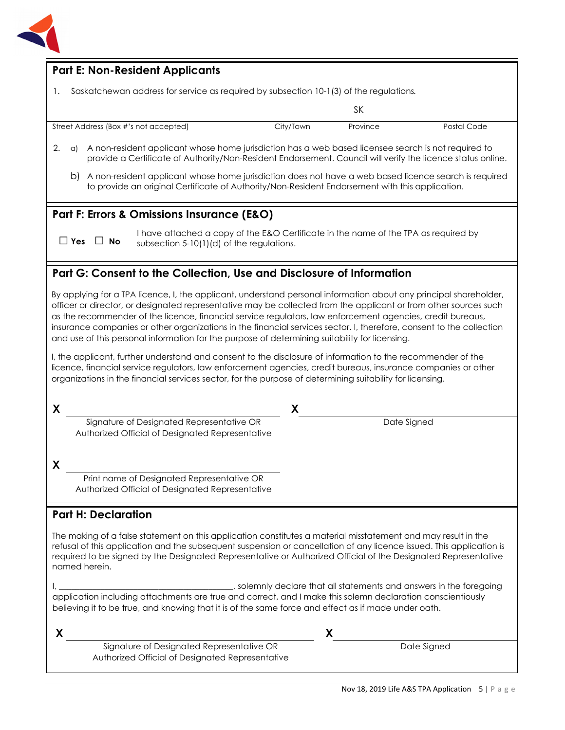

| <b>Part E: Non-Resident Applicants</b>                                                                                                                                                                                                                                                                                                                                                                                                                                                                                                                                                                                                                                                                                                                                                                     |                                                                                        |             |             |
|------------------------------------------------------------------------------------------------------------------------------------------------------------------------------------------------------------------------------------------------------------------------------------------------------------------------------------------------------------------------------------------------------------------------------------------------------------------------------------------------------------------------------------------------------------------------------------------------------------------------------------------------------------------------------------------------------------------------------------------------------------------------------------------------------------|----------------------------------------------------------------------------------------|-------------|-------------|
| 1.                                                                                                                                                                                                                                                                                                                                                                                                                                                                                                                                                                                                                                                                                                                                                                                                         | Saskatchewan address for service as required by subsection 10-1(3) of the regulations. |             |             |
|                                                                                                                                                                                                                                                                                                                                                                                                                                                                                                                                                                                                                                                                                                                                                                                                            |                                                                                        | SK          |             |
| Street Address (Box #'s not accepted)                                                                                                                                                                                                                                                                                                                                                                                                                                                                                                                                                                                                                                                                                                                                                                      | City/Town                                                                              | Province    | Postal Code |
| A non-resident applicant whose home jurisdiction has a web based licensee search is not required to<br>2.<br>a)<br>provide a Certificate of Authority/Non-Resident Endorsement. Council will verify the licence status online.                                                                                                                                                                                                                                                                                                                                                                                                                                                                                                                                                                             |                                                                                        |             |             |
| b) A non-resident applicant whose home jurisdiction does not have a web based licence search is required<br>to provide an original Certificate of Authority/Non-Resident Endorsement with this application.                                                                                                                                                                                                                                                                                                                                                                                                                                                                                                                                                                                                |                                                                                        |             |             |
| Part F: Errors & Omissions Insurance (E&O)                                                                                                                                                                                                                                                                                                                                                                                                                                                                                                                                                                                                                                                                                                                                                                 |                                                                                        |             |             |
| I have attached a copy of the E&O Certificate in the name of the TPA as required by<br>$\Box$ Yes $\Box$ No<br>subsection 5-10(1)(d) of the regulations.                                                                                                                                                                                                                                                                                                                                                                                                                                                                                                                                                                                                                                                   |                                                                                        |             |             |
| Part G: Consent to the Collection, Use and Disclosure of Information                                                                                                                                                                                                                                                                                                                                                                                                                                                                                                                                                                                                                                                                                                                                       |                                                                                        |             |             |
| officer or director, or designated representative may be collected from the applicant or from other sources such<br>as the recommender of the licence, financial service regulators, law enforcement agencies, credit bureaus,<br>insurance companies or other organizations in the financial services sector. I, therefore, consent to the collection<br>and use of this personal information for the purpose of determining suitability for licensing.<br>I, the applicant, further understand and consent to the disclosure of information to the recommender of the<br>licence, financial service regulators, law enforcement agencies, credit bureaus, insurance companies or other<br>organizations in the financial services sector, for the purpose of determining suitability for licensing.<br>X | X                                                                                      |             |             |
| Signature of Designated Representative OR<br>Authorized Official of Designated Representative                                                                                                                                                                                                                                                                                                                                                                                                                                                                                                                                                                                                                                                                                                              |                                                                                        | Date Signed |             |
| X                                                                                                                                                                                                                                                                                                                                                                                                                                                                                                                                                                                                                                                                                                                                                                                                          |                                                                                        |             |             |
| Print name of Designated Representative OR<br>Authorized Official of Designated Representative                                                                                                                                                                                                                                                                                                                                                                                                                                                                                                                                                                                                                                                                                                             |                                                                                        |             |             |
| <b>Part H: Declaration</b>                                                                                                                                                                                                                                                                                                                                                                                                                                                                                                                                                                                                                                                                                                                                                                                 |                                                                                        |             |             |
| The making of a false statement on this application constitutes a material misstatement and may result in the<br>refusal of this application and the subsequent suspension or cancellation of any licence issued. This application is<br>required to be signed by the Designated Representative or Authorized Official of the Designated Representative<br>named herein.                                                                                                                                                                                                                                                                                                                                                                                                                                   |                                                                                        |             |             |
| solemnly declare that all statements and answers in the foregoing<br>application including attachments are true and correct, and I make this solemn declaration conscientiously<br>believing it to be true, and knowing that it is of the same force and effect as if made under oath.                                                                                                                                                                                                                                                                                                                                                                                                                                                                                                                     |                                                                                        |             |             |
| X                                                                                                                                                                                                                                                                                                                                                                                                                                                                                                                                                                                                                                                                                                                                                                                                          |                                                                                        | X           |             |
| Signature of Designated Representative OR                                                                                                                                                                                                                                                                                                                                                                                                                                                                                                                                                                                                                                                                                                                                                                  |                                                                                        |             | Date Signed |

Authorized Official of Designated Representative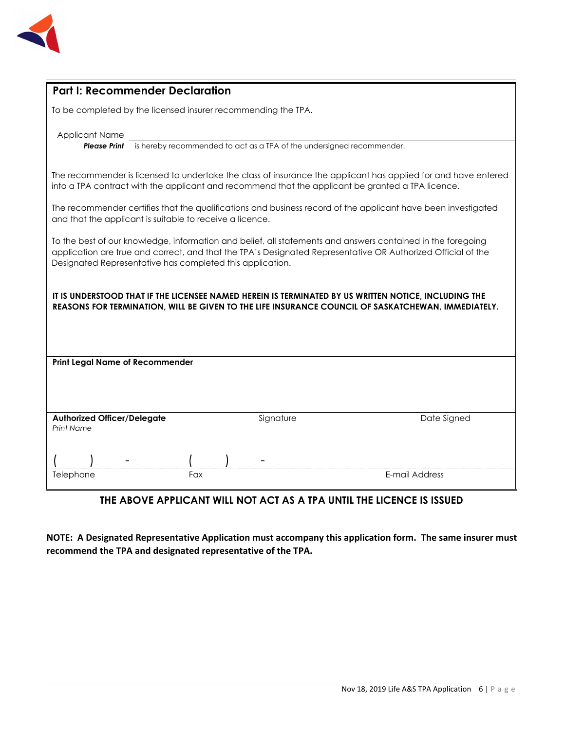

| <b>Part I: Recommender Declaration</b>                                                                                                                                                                                                                                                   |  |  |
|------------------------------------------------------------------------------------------------------------------------------------------------------------------------------------------------------------------------------------------------------------------------------------------|--|--|
| To be completed by the licensed insurer recommending the TPA.                                                                                                                                                                                                                            |  |  |
| <b>Applicant Name</b><br>is hereby recommended to act as a TPA of the undersigned recommender.<br><b>Please Print</b>                                                                                                                                                                    |  |  |
| The recommender is licensed to undertake the class of insurance the applicant has applied for and have entered<br>into a TPA contract with the applicant and recommend that the applicant be granted a TPA licence.                                                                      |  |  |
| The recommender certifies that the qualifications and business record of the applicant have been investigated<br>and that the applicant is suitable to receive a licence.                                                                                                                |  |  |
| To the best of our knowledge, information and belief, all statements and answers contained in the foregoing<br>application are true and correct, and that the TPA's Designated Representative OR Authorized Official of the<br>Designated Representative has completed this application. |  |  |
| IT IS UNDERSTOOD THAT IF THE LICENSEE NAMED HEREIN IS TERMINATED BY US WRITTEN NOTICE, INCLUDING THE<br>REASONS FOR TERMINATION, WILL BE GIVEN TO THE LIFE INSURANCE COUNCIL OF SASKATCHEWAN, IMMEDIATELY.                                                                               |  |  |
| <b>Print Legal Name of Recommender</b>                                                                                                                                                                                                                                                   |  |  |
|                                                                                                                                                                                                                                                                                          |  |  |
| Signature<br><b>Authorized Officer/Delegate</b><br>Date Signed<br><b>Print Name</b>                                                                                                                                                                                                      |  |  |
|                                                                                                                                                                                                                                                                                          |  |  |
| E-mail Address<br>Fax<br>Telephone                                                                                                                                                                                                                                                       |  |  |

## **THE ABOVE APPLICANT WILL NOT ACT AS A TPA UNTIL THE LICENCE IS ISSUED**

**NOTE: A Designated Representative Application must accompany this application form. The same insurer must recommend the TPA and designated representative of the TPA.**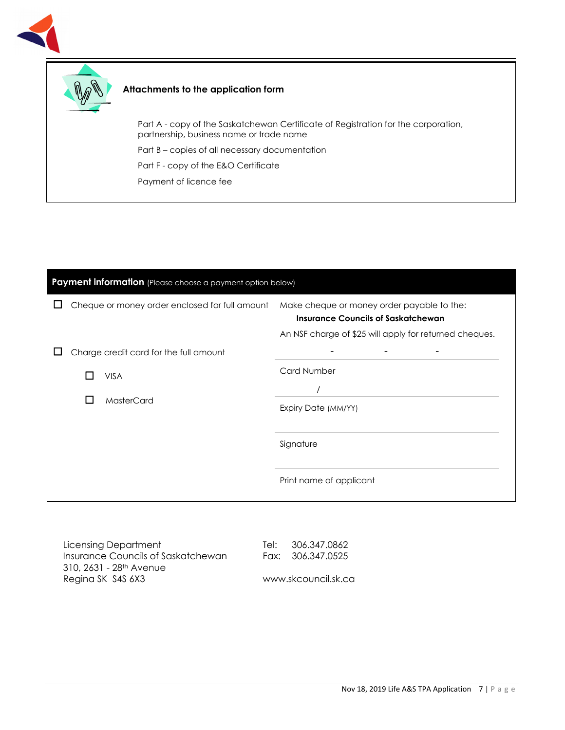



#### **Attachments to the application form**

Part A - copy of the Saskatchewan Certificate of Registration for the corporation, partnership, business name or trade name

Part B – copies of all necessary documentation

Part F - copy of the E&O Certificate

Payment of licence fee

| Payment information (Please choose a payment option below) |              |                                                |                                                                                                                                                   |
|------------------------------------------------------------|--------------|------------------------------------------------|---------------------------------------------------------------------------------------------------------------------------------------------------|
| ட                                                          |              | Cheque or money order enclosed for full amount | Make cheque or money order payable to the:<br><b>Insurance Councils of Saskatchewan</b><br>An NSF charge of \$25 will apply for returned cheques. |
|                                                            |              | Charge credit card for the full amount         |                                                                                                                                                   |
|                                                            |              | <b>VISA</b>                                    | <b>Card Number</b>                                                                                                                                |
|                                                            | $\mathbf{L}$ | MasterCard                                     | Expiry Date (MM/YY)                                                                                                                               |
|                                                            |              |                                                | Signature                                                                                                                                         |
|                                                            |              |                                                | Print name of applicant                                                                                                                           |
|                                                            |              |                                                |                                                                                                                                                   |

Licensing Department Insurance Councils of Saskatchewan 310, 2631 - 28<sup>th</sup> Avenue Regina SK S4S 6X3

Tel: 306.347.0862 Fax: 306.347.0525

www.skcouncil.sk.ca